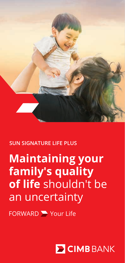

### **SUN SIGNATURE LIFE PLUS**

# **Maintaining your family's quality of life** shouldn't be an uncertainty

FORWARD Your Life

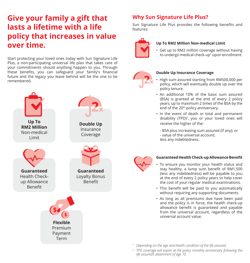## **Give your family a gift that lasts a lifetime with a life policy that increases in value over time.**

Start protecting your loved ones today with Sun Signature Life Plus, a non-participating universal life plan that takes care of your commitments should anything happen to you. Through these benefits, you can safeguard your family's financial future and the legacy you leave behind will be the one to be remembered.



### **Why Sun Signature Life Plus?**

Sun Signature Life Plus provides the following benefits and features:



#### **Up To RM2 Million Non-medical Limit**

• Get up to RM2 million coverage without having to undergo medical check-up<sup>1</sup> upon enrollment.



#### **Double Up Insurance Coverage**

- High sum assured starting from RM500,000 per policy, which will eventually double up over the policy tenure.
- An additional 10% of the basic sum assured (BSA) is granted at the end of every 2 policy years, up to maximum 2 times of the BSA by the end of the 20<sup>th</sup> policy anniversary.
- In the event of death or total and permanent disability (TPD)<sup>2</sup>, you or your loved ones will receive the higher of the:
	- BSA plus increasing sum assured (if any); or - value of the universal account; less any indebtedness.



#### **Guaranteed Health Check-up Allowance Benefit**

- To ensure you monitor your health status and stay healthy, a lump sum benefit of RM1,500 (less any indebtedness) will be payable to you at the end of every 2 policy years to help cover the cost of your regular medical examinations.
- This benefit will be paid to you automatically without requiring any supporting documents.
- As long as all premiums due have been paid and the policy is in force, the health check-up allowance benefit is guaranteed and payable from the universal account, regardless of the universal account value.
- *<sup>1</sup> Depending on the age and health condition of the life assured.*
- *<sup>2</sup> TPD coverage will expire at the policy monthly anniversary following the life assured's attainment of age 70.*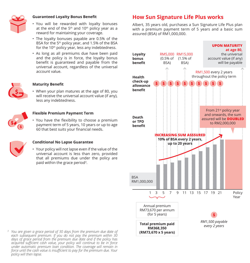

#### **Guaranteed Loyalty Bonus Benefit**

- You will be rewarded with loyalty bonuses at the end of the  $5<sup>th</sup>$  and 10<sup>th</sup> policy year as a reward for maintaining your coverage.
- The loyalty bonuses payable are 0.5% of the BSA for the 5th policy year, and 1.5% of the BSA for the 10<sup>th</sup> policy year, less any indebtedness.
- As long as all premiums due have been paid and the policy is in force, the loyalty bonus benefit is guaranteed and payable from the universal account, regardless of the universal account value.



#### **Maturity Benefit**

• When your plan matures at the age of 80, you will receive the universal account value (if any), less any indebtedness.



#### **Flexible Premium Payment Term**

• You have the flexibility to choose a premium payment term of 5 years, 10 years or up to age 60 that best suits your financial needs.



#### **Conditional No Lapse Guarantee**

• Your policy will not lapse even if the value of the universal account is less than zero, provided that all premiums due under the policy are paid within the grace period3.

### **How Sun Signature Life Plus works**

Albert, 35 years old, purchases a Sun Signature Life Plus plan with a premium payment term of 5 years and a basic sum assured (BSA) of RM1,000,000.



*<sup>3</sup> You are given a grace period of 30 days from the premium due date of each subsequent premium. If you do not pay the premium within 30 days of grace period from the premium due date and if the policy has acquired sufficient cash value, your policy will continue to be in force under automatic premium loan condition. The coverage will remain in force until the cash value is insufficient to pay for the premium due. Your policy will then lapse.*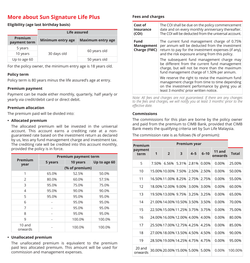### **More about Sun Signature Life Plus**

#### **Eligibility (age last birthday basis)**

|                         | Life assured             |                          |  |  |  |
|-------------------------|--------------------------|--------------------------|--|--|--|
| Premium<br>payment term | <b>Minimum entry age</b> | <b>Maximum entry age</b> |  |  |  |
| 5 years                 |                          |                          |  |  |  |
| 10 years                | 30 days old              | 60 years old             |  |  |  |
| Up to age 60            |                          | 50 years old             |  |  |  |

For the policy owner, the minimum entry age is 18 years old.

#### **Policy term**

Policy term is 80 years minus the life assured's age at entry.

#### **Premium payment**

Payment can be made either monthly, quarterly, half yearly or yearly via credit/debit card or direct debit.

#### **Premium allocation**

The premium paid will be divided into:

#### **• Allocated premium**

The allocated premium will be invested in the universal account. This account earns a crediting rate at a nonguaranteed rate based on the investment return as declared by us, less any fund management charge and investment tax. The crediting rate will be credited into this account monthly, provided the policy is in force.

|                     | <b>Premium payment term</b> |          |        |  |  |  |
|---------------------|-----------------------------|----------|--------|--|--|--|
| Premium<br>year     | 5 years                     | 10 years |        |  |  |  |
|                     | (% of premium)              |          |        |  |  |  |
| 1                   | 65.0%                       | 52.5%    | 50.0%  |  |  |  |
| $\mathfrak{D}$      | 80.0%                       | 60.0%    | 57.5%  |  |  |  |
| 3                   | 95.0%                       | 75.0%    | 75.0%  |  |  |  |
| 4                   | 95.0%                       | 90.0%    | 90.0%  |  |  |  |
| 5                   | 95.0%                       | 95.0%    | 95.0%  |  |  |  |
| 6                   |                             | 95.0%    | 95.0%  |  |  |  |
| 7                   |                             | 95.0%    | 95.0%  |  |  |  |
| 8                   |                             | 95.0%    | 95.0%  |  |  |  |
| 9                   |                             | 100.0%   | 100.0% |  |  |  |
| $10$ and<br>onwards |                             | 100.0%   | 100.0% |  |  |  |

#### **• Unallocated premium**

The unallocated premium is equivalent to the premium paid less allocated premium. This amount will be used for commission and management expenses.

#### **Fees and charges**

| Cost of<br>Insurance<br>(COI)      | The COI shall be due on the policy commencement<br>date and on every monthly anniversary thereafter.<br>The COI will be deducted from the universal account.                                            |
|------------------------------------|---------------------------------------------------------------------------------------------------------------------------------------------------------------------------------------------------------|
| Fund<br>Management<br>Charge (FMC) | The current fund management charge of 0.75%<br>per annum will be deducted from the investment<br>return to pay for the investment expenses (if any),<br>and the risk exposure arising from this policy. |
|                                    | The subsequent fund management charge may<br>be different from the current fund management<br>charge, but will not be more than the maximum<br>fund management charge of 1.50% per annum.               |
|                                    | We reserve the right to revise the maximum fund<br>management charge from time to time depending<br>on the investment performance by giving you at<br>least 3 months' prior written notice.             |

*Note: All fees and charges are not guaranteed. If there are any changes to the fees and charges, we will notify you at least 3 months' prior to the effective date.*

#### **Commissions**

The commissions for this plan are borne by the policy owner and paid from the premium to CIMB Bank, provided that CIMB Bank meets the qualifying criteria set by Sun Life Malaysia.

The commission rate is as follows (% of premium):

| Premium           | Premium year |                            |       |         |          |                   |              |
|-------------------|--------------|----------------------------|-------|---------|----------|-------------------|--------------|
| payment<br>term   | 1            | $\overline{2}$             | 3     | $4 - 5$ | $6 - 10$ | 11 and<br>onwards | <b>Total</b> |
| 5                 | 7.50%        | 6.56%                      | 5.31% | 2.81%   | 0.00%    | 0.00%             | 25.00%       |
| 10                |              | 15.00% 10.00% 7.50%        |       | 2.50%   | 2.50%    | $0.00\%$          | 50.00%       |
| 11                |              | 16.50% 11.00% 8.25%        |       | 2.75%   | 2.75%    | $0.00\%$          | 55.00%       |
| 12                |              | 18.00% 12.00% 9.00%        |       | 3.00%   | 3.00%    | 0.00%             | 60.00%       |
| 13                |              | 19.50% 13.00% 9.75%        |       | 3.25%   | 3.25%    | $0.00\%$          | 65.00%       |
| 14                |              | 21.00% 14.00% 10.50% 3.50% |       |         | 3.50%    | $0.00\%$          | 70.00%       |
| 15                |              | 22.50% 15.00% 11.25% 3.75% |       |         | 3.75%    | $0.00\%$          | 75.00%       |
| 16                |              | 24.00% 16.00% 12.00% 4.00% |       |         | 4.00%    | $0.00\%$          | 80.00%       |
| 17                |              | 25.50% 17.00% 12.75% 4.25% |       |         | 4.25%    | $0.00\%$          | 85.00%       |
| 18                |              | 27.00% 18.00% 13.50% 4.50% |       |         | 4.50%    | $0.00\%$          | 90.00%       |
| 19                |              | 28.50% 19.00% 14.25% 4.75% |       |         | 4.75%    | $0.00\%$          | 95.00%       |
| 20 and<br>onwards |              | 30.00% 20.00% 15.00% 5.00% |       |         | 5.00%    | 0.00%             | 100.00%      |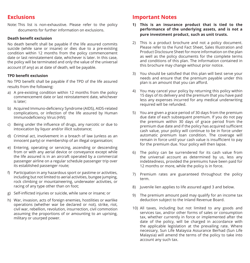### **Exclusions**

Note: This list is non-exhaustive. Please refer to the policy documents for further information on exclusions.

#### **Death benefit exclusion**

No death benefit shall be payable if the life assured commits suicide (while sane or insane) or dies due to a pre-existing condition within 12 months from the policy commencement date or last reinstatement date, whichever is later. In this case, the policy will be terminated and only the value of the universal account (if any) as at date of death, will be payable.

#### **TPD benefit exclusion**

No TPD benefit shall be payable if the TPD of the life assured results from the following:

- a) A pre-existing condition within 12 months from the policy commencement date or last reinstatement date, whichever is later;
- b) Acquired Immuno-deficiency Syndrome (AIDS), AIDS-related complications, or infection of the life assured by Human Immunodeficiency Virus (HIV);
- c) Being under the influence of drugs, any narcotic or due to intoxication by liquor and/or illicit substance;
- d) Criminal act, involvement in a breach of law (unless as an innocent party) or membership of an illegal organisation;
- e) Entering, operating or servicing, ascending or descending from or with any aerial device or conveyance except while the life assured is in an aircraft operated by a commercial passenger airline on a regular schedule passenger trip over its established passenger route;
- f) Participation in any hazardous sport or pastime or activities, including but not limited to aerial activities, bungee jumping, rock climbing or mountaineering, underwater activities, or racing of any type other than on foot;
- g) Self-inflicted injuries or suicide, while sane or insane; or
- h) War, invasion, acts of foreign enemies, hostilities or warlike operations (whether war be declared or not), strike, riot, civil war, rebellion, revolution, insurrection, civil commotion assuming the proportions of or amounting to an uprising, military or usurped power.

### **Important Notes**

- **1) This is an insurance product that is tied to the performance of the underlying assets, and is not a pure investment product, such as unit trusts.**
- 2) This is a product brochure and not a policy document. Please refer to the Fund Fact Sheet, Sales Illustration and Product Disclosure Sheet for more information on the plan as well as the policy documents for the complete terms and conditions of this plan. The information contained in this brochure may change without prior notice.
- 3) You should be satisfied that this plan will best serve your needs and ensure that the premium payable under this plan is an amount that you can afford.
- 4) You may cancel your policy by returning this policy within 15 days of its delivery and the premium that you have paid less any expenses incurred for any medical underwriting required will be refunded.
- 5) You are given a grace period of 30 days from the premium due date of each subsequent premium. If you do not pay the premium within 30 days of grace period from the premium due date and if the policy has acquired sufficient cash value, your policy will continue to be in force under automatic premium loan condition. The coverage will remain in force until your cash value is insufficient to pay for the premium due. Your policy will then lapse.
- 6) The policy can be surrendered for its cash value from the universal account as determined by us, less any indebtedness, provided the premiums have been paid for 12 months or more, while the policy is in force.
- 7) Premium rates are guaranteed throughout the policy term.
- 8) Juvenile lien applies to life assured aged 3 and below.
- 9) The premium amount paid may qualify for an income tax deduction subject to the Inland Revenue Board.
- 10) All taxes, including but not limited to any goods and services tax, and/or other forms of sales or consumption tax, whether currently in force or implemented after the date of the policy, will be charged in accordance with the applicable legislation at the prevailing rate. Where necessary, Sun Life Malaysia Assurance Berhad (Sun Life Malaysia) will amend the terms of the policy to take into account any such tax.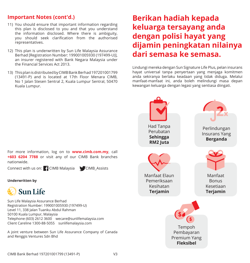### **Important Notes (cont'd.)**

- 11) You should ensure that important information regarding this plan is disclosed to you and that you understand the information disclosed. Where there is ambiguity, you should seek clarification from the authorised representatives.
- 12) This plan is underwritten by Sun Life Malaysia Assurance Berhad [Registration Number: 199001005930 (197499-U)], an insurer registered with Bank Negara Malaysia under the Financial Services Act 2013.
- 13) This plan is distributed by CIMB Bank Berhad 197201001799 (13491-P) and is located at 17th Floor Menara CIMB, No 1 Jalan Stesen Sentral 2, Kuala Lumpur Sentral, 50470 Kuala Lumpur.

## **Berikan hadiah kepada keluarga tersayang anda dengan polisi hayat yang dijamin peningkatan nilainya dari semasa ke semasa.**

Lindungi mereka dengan Sun Signature Life Plus, pelan insurans hayat universal tanpa penyertaan yang menjaga komitmen anda sekiranya berlaku keadaan yang tidak diduga. Melalui manfaat-manfaat ini, anda boleh melindungi masa depan kewangan keluarga dengan legasi yang sentiasa diingati.

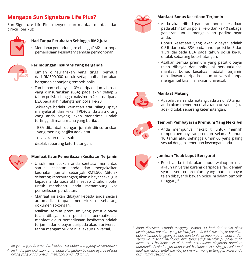## **Mengapa Sun Signature Life Plus?**

Sun Signature Life Plus menyediakan manfaat-manfaat dan ciri-ciri berikut:



#### **Had Tanpa Perubatan Sehingga RM2 Juta**

• Mendapat perlindungan sehingga RM2 juta tanpa pemeriksaan kesihatan<sup>1</sup> semasa permohonan.



#### **Perlindungan Insurans Yang Berganda**

- Jumlah diinsuranskan yang tinggi bermula dari RM500,000 untuk setiap polisi dan akan berganda sepanjang tempoh polisi.
- Tambahan sebanyak 10% daripada jumlah asas yang diinsuranskan (BSA) pada akhir setiap 2 tahun polisi, sehingga maksimum 2 kali daripada BSA pada akhir ulangtahun polisi ke-20.
- Sekiranya berlaku kematian atau hilang upaya menyeluruh dan kekal (TPD)<sup>2</sup>, anda atau orang yang anda sayangi akan menerima jumlah tertinggi di mana-mana yang berikut:
	- BSA ditambah dengan jumlah diinsuranskan yang meningkat (jika ada); atau
	- nilai akaun universal;

ditolak sebarang keterhutangan.



#### **Manfaat Elaun Pemeriksaan Kesihatan Terjamin**

- Untuk memastikan anda sentiasa memantau status kesihatan anda dan mengekalkan kesihatan, jumlah sebanyak RM1,500 (ditolak sebarang keterhutangan) akan dibayar sekaligus kepada anda pada akhir setiap 2 tahun polisi untuk membantu anda menampung kos pemeriksaan perubatan.
- Manfaat ini akan dibayar kepada anda secara automatik tanpa memerlukan sebarang dokumen sokongan.
- Asalkan semua premium yang patut dibayar telah dibayar dan polisi ini berkuatkuasa, manfaat elaun pemeriksaan kesihatan adalah terjamin dan dibayar daripada akaun universal, tanpa mengambil kira nilai akaun universal.
- *<sup>1</sup> Bergantung pada umur dan keadaan kesihatan orang yang diinsuranskan.*
- *<sup>2</sup> Perlindungan TPD akan tamat pada ulangtahun bulanan sejurus selepas orang yang diinsuranskan mencapai umur 70 tahun.*



#### **Manfaat Bonus Kesetiaan Terjamin**

- Anda akan diberi ganjaran bonus kesetiaan pada akhir tahun polisi ke-5 dan ke-10 sebagai ganjaran untuk mengekalkan perlindungan anda.
- Bonus kesetiaan yang akan dibayar adalah 0.5% daripada BSA pada tahun polisi ke-5 dan 1.5% daripada BSA pada tahun polisi ke-10, ditolak sebarang keterhutangan.
- Asalkan semua premium yang patut dibayar telah dibayar dan polisi ini berkuatkuasa, manfaat bonus kesetiaan adalah terjamin dan dibayar daripada akaun universal, tanpa mengambil kira nilai akaun universal.



#### **Manfaat Matang**

• Apabila pelan anda matang pada umur 80 tahun, anda akan menerima nilai akaun universal (jika ada), ditolak sebarang keterhutangan.



#### **Tempoh Pembayaran Premium Yang Fleksibel**

• Anda mempunyai fleksibiliti untuk memilih tempoh pembayaran premium selama 5 tahun, 10 tahun atau sehingga umur 60 yang paling sesuai dengan keperluan kewangan anda.



#### **Jaminan Tidak Luput Bersyarat**

• Polisi anda tidak akan luput walaupun nilai akaun universal kurang daripada sifar, dengan syarat semua premium yang patut dibayar telah dibayar di bawah polisi ini dalam tempoh tenggang3.

*<sup>3</sup> Anda diberikan tempoh tenggang selama 30 hari dari tarikh akhir pembayaran premium yang berikut. Jika anda tidak membayar premium dalam tempoh tenggang 30 hari dari tarikh premium patut dibayar dan sekiranya ia telah mencapai nilai tunai yang mencukupi, polisi anda akan terus berkuatkuasa di bawah peruntukan pinjaman premium automatik. Perlindungan anda kekal berkuatkuasa sehingga nilai tunai tidak mencukupi untuk membayar premium yang tertunggak. Polisi anda akan tamat selepasnya.*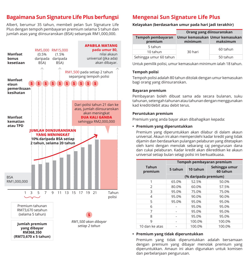### **Bagaimana Sun Signature Life Plus berfungsi**

Albert, berumur 35 tahun, membeli pelan Sun Signature Life Plus dengan tempoh pembayaran premium selama 5 tahun dan jumlah asas yang diinsuranskan (BSA) sebanyak RM1,000,000.



## **Mengenai Sun Signature Life Plus**

**Kelayakan (berdasarkan umur pada hari jadi terakhir)**

|                              | Orang yang diinsuranskan                 |          |  |  |
|------------------------------|------------------------------------------|----------|--|--|
| Tempoh pembayaran<br>premium | Umur kemasukan Umur kemasukan<br>minimum | maksimum |  |  |
| 5 tahun                      |                                          | 60 tahun |  |  |
| 10 tahun                     | 30 hari                                  |          |  |  |
| Sehingga umur 60 tahun       |                                          | 50 tahun |  |  |

Untuk pemilik polisi, umur kemasukan minimum ialah 18 tahun.

#### **Tempoh polisi**

Tempoh polisi adalah 80 tahun ditolak dengan umur kemasukan bagi orang yang diinsuranskan.

#### **Bayaran premium**

Pembayaran boleh dibuat sama ada secara bulanan, suku tahunan, setengah tahunan atau tahunan dengan menggunakan kad kredit/debit atau debit terus.

#### **Peruntukan premium**

Premium yang anda bayar akan dibahagikan kepada:

#### **• Premium yang diperuntukkan**

Premium yang diperuntukkan akan dilabur di dalam akaun universal. Akaun ini akan memperolehi kadar kredit yang tidak dijamin dan berdasarkan pulangan pelaburan yang ditetapkan oleh kami dengan menolak sebarang caj pengurusan dana dan cukai pelaburan. Kadar kredit akan dikreditkan ke akaun universal setiap bulan selagi polisi ini berkuatkuasa.

|                         | Tempoh pembayaran premium |          |                           |  |  |  |
|-------------------------|---------------------------|----------|---------------------------|--|--|--|
| <b>Tahun</b><br>premium | 5 tahun                   | 10 tahun | Sehingga umur<br>60 tahun |  |  |  |
|                         | (% daripada premium)      |          |                           |  |  |  |
| 1                       | 65.0%                     | 52.5%    | 50.0%                     |  |  |  |
| $\mathcal{P}$           | 80.0%                     | 60.0%    | 57.5%                     |  |  |  |
| 3                       | 95.0%                     | 75.0%    | 75.0%                     |  |  |  |
| 4                       | 95.0%                     | 90.0%    | 90.0%                     |  |  |  |
| 5                       | 95.0%                     | 95.0%    | 95.0%                     |  |  |  |
| 6                       |                           | 95.0%    | 95.0%                     |  |  |  |
| 7                       |                           | 95.0%    | 95.0%                     |  |  |  |
| 8                       |                           | 95.0%    | 95.0%                     |  |  |  |
| 9                       |                           | 100.0%   | 100.0%                    |  |  |  |
| 10 dan ke atas          |                           | 100.0%   | 100.0%                    |  |  |  |

#### **• Premium yang tidak diperuntukkan**

Premium yang tidak diperuntukkan adalah bersamaan dengan premium yang dibayar menolak premium yang diperuntukkan. Amaun ini akan digunakan untuk komisen dan perbelanjaan pengurusan.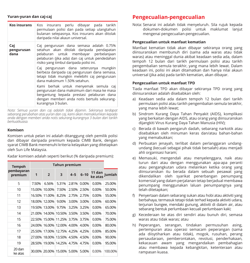#### **Yuran-yuran dan caj-caj**

| <b>Kos insurans</b>       | Kos insurans perlu dibayar pada tarikh<br>permulaan polisi dan pada setiap ulangtahun<br>bulanan selepasnya. Kos insurans akan ditolak<br>daripada nilai akaun universal.                                                                                                                                          |
|---------------------------|--------------------------------------------------------------------------------------------------------------------------------------------------------------------------------------------------------------------------------------------------------------------------------------------------------------------|
| Caj<br>pengurusan<br>dana | Caj pengurusan dana semasa adalah 0.75%<br>setahun akan ditolak daripada pendapatan<br>pelaburan untuk membayar perbelanjaan<br>pelaburan (jika ada) dan caj untuk pendedahan<br>risiko yang timbul daripada polisi ini.<br>Caj pengurusan dana seterusnya mungkin<br>berbeza daripada caj pengurusan dana semasa, |
|                           | tetapi tidak mungkin melebihi caj pengurusan<br>dana maksimum 1.50% setahun.                                                                                                                                                                                                                                       |
|                           | Kami berhak untuk menyemak semula caj<br>pengurusan dana maksimum dari masa ke masa<br>bergantung kepada prestasi pelaburan dana<br>dengan memberi anda notis bertulis sekurang-<br>kurangnya 3 bulan.                                                                                                             |

*Nota: Semua yuran dan caj adalah tidak dijamin. Sekiranya terdapat sebarang perubahan atas yuran dan caj, kami akan memaklumkan kepada anda dengan memberi anda notis sekurang-kurangnya 3 bulan dari tarikh berkuatkuasa.*

#### **Komisen**

Komisen untuk pelan ini adalah ditanggung oleh pemilik polisi dan dibayar daripada premium kepada CIMB Bank, dengan syarat CIMB Bank memenuhi kriteria kelayakan yang ditetapkan oleh Sun Life Malaysia.

Kadar komisen adalah seperti berikut (% daripada premium):

| <b>Tempoh</b>         | Tahun premium |                |                            |         |          |                   |               |
|-----------------------|---------------|----------------|----------------------------|---------|----------|-------------------|---------------|
| pembayaran<br>premium | 1             | $\overline{2}$ | 3                          | $4 - 5$ | $6 - 10$ | 11 dan<br>ke atas | <b>Iumlah</b> |
| 5                     | 7.50%         | 6.56%          | 5.31%                      | 2.81%   | $0.00\%$ | $0.00\%$          | 25.00%        |
| 10                    | 15.00%        | 10.00%         | 7.50%                      | 2.50%   | 2.50%    | $0.00\%$          | 50.00%        |
| 11                    | 16.50%        | 11.00%         | 8.25%                      | 2.75%   | 2.75%    | 0.00%             | 55.00%        |
| 12                    | 18.00%        | 12.00%         | 9.00%                      | 3.00%   | 3.00%    | 0.00%             | 60.00%        |
| 13                    | 19.50%        | 13.00%         | 9.75%                      | 3.25%   | 3.25%    | 0.00%             | 65.00%        |
| 14                    | 21.00%        | 14.00%         | 10.50%                     | 3.50%   | 3.50%    | $0.00\%$          | 70.00%        |
| 15                    |               |                | 22.50% 15.00% 11.25% 3.75% |         | 3.75%    | $0.00\%$          | 75.00%        |
| 16                    | 24.00%        |                | 16.00% 12.00%              | 4.00%   | 4.00%    | $0.00\%$          | 80.00%        |
| 17                    | 25.50%        |                | 17.00% 12.75% 4.25%        |         | 4.25%    | $0.00\%$          | 85.00%        |
| 18                    | 27.00%        |                | 18.00% 13.50% 4.50%        |         | 4.50%    | $0.00\%$          | 90.00%        |
| 19                    | 28.50%        |                | 19.00% 14.25%              | 4.75%   | 4.75%    | $0.00\%$          | 95.00%        |
| 20 dan<br>ke atas     |               |                | 30.00% 20.00% 15.00% 5.00% |         | 5.00%    | 0.00%             | 100.00%       |

### **Pengecualian-pengecualian**

Nota: Senarai ini adalah tidak menyeluruh. Sila rujuk kepada dokumen-dokumen polisi untuk maklumat lanjut mengenai pengecualian-pengecualian.

#### **Pengecualian untuk manfaat kematian**

Manfaat kematian tidak akan dibayar sekiranya orang yang diinsuranskan membunuh diri (sama ada waras atau tidak waras) atau meninggal dunia akibat keadaan sedia ada, dalam tempoh 12 bulan dari tarikh permulaan polisi atau tarikh pengembalian semula terakhir, yang mana lebih lewat. Dalam keadaan ini, polisi ini akan ditamatkan dan hanya nilai akaun universal (jika ada) pada tarikh kematian, akan dibayar.

#### **Pengecualian untuk manfaat TPD**

Tiada manfaat TPD akan dibayar sekiranya TPD orang yang diinsuranskan adalah disebabkan oleh:

- a) Keadaan sedia ada dalam tempoh 12 bulan dari tarikh permulaan polisi atau tarikh pengembalian semula terakhir, yang mana lebih lewat;
- b) Sindrom Kurang Daya Tahan Penyakit (AIDS), komplikasi yang berkaitan dengan AIDS, atau orang yang diinsuranskan dijangkiti Virus Kurang Daya Tahan Manusia (HIV);
- c) Berada di bawah pengaruh dadah, sebarang narkotik atau disebabkan oleh minuman keras dan/atau bahan-bahan yang memabukkan;
- d) Perbuatan jenayah, terlibat dalam perlanggaran undangundang (kecuali sebagai pihak tidak bersalah) atau menjadi ahli organisasi haram;
- e) Memasuki, mengendali atau menyelenggara, naik atau turun dari atau dengan menggunakan apa-apa peranti atau pengangkutan udara melainkan ketika orang yang diinsuranskan itu berada dalam sebuah pesawat yang dikendalikan oleh syarikat penerbangan penumpang komersial yang dalam perjalanan tetap berjadual membawa penumpang menggunakan laluan penumpangnya yang telah ditetapkan;
- f) Penyertaan dalam sebarang sukan atau hobi atau aktiviti yang berbahaya, termasuk tetapi tidak terhad kepada aktiviti udara, terjunan bungee, mendaki gunung, aktiviti di dalam air, atau sebarang bentuk perlumbaan kecuali perlumbaan kaki;
- g) Kecederaan ke atas diri sendiri atau bunuh diri, semasa waras atau tidak waras; atau
- h) Peperangan, serangan, tindakan permusuhan asing, pertempuran atau operasi semacam peperangan (sama ada diisytiharkan atau tidak), mogok, rusuhan, perang persaudaraan, pemberontakan, revolusi, penderhakaan, kekacauan awam yang mengandaikan pembahagian atau membawa kepada kebangkitan, ketenteraan atau rampasan kuasa.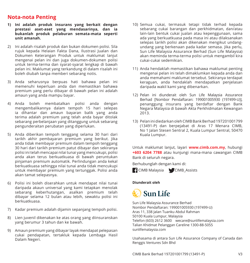### **Nota-nota Penting**

- **1) Ini adalah produk insurans yang berkait dengan prestasi aset-aset yang mendasarinya, dan ia bukanlah produk pelaburan semata-mata seperti unit amanah.**
- 2) Ini adalah risalah produk dan bukan dokumen polisi. Sila rujuk kepada Helaian Fakta Dana, Ilustrasi Jualan dan Dokumen Keterangan Produk untuk maklumat lanjut mengenai pelan ini dan juga dokumen-dokumen polisi untuk terma-terma dan syarat-syarat lengkap di bawah pelan ini. Maklumat yang terkandung di dalam risalah ini boleh diubah tanpa memberi sebarang notis.
- 3) Anda seharusnya berpuas hati bahawa pelan ini memenuhi keperluan anda dan memastikan bahawa premium yang perlu dibayar di bawah pelan ini adalah amaun yang anda mampu bayar.
- 4) Anda boleh membatalkan polisi anda dengan mengembalikannya dalam tempoh 15 hari selepas ia dihantar dan amaun bayaran balik yang anda terima adalah premium yang telah anda bayar ditolak sebarang perbelanjaan yang ditanggung untuk sebarang pengunderaitan perubatan yang diperlukan.
- 5) Anda diberikan tempoh tenggang selama 30 hari dari tarikh akhir pembayaran premium yang berikut. Jika anda tidak membayar premium dalam tempoh tenggang 30 hari dari tarikh premium patut dibayar dan sekiranya polisi ini telah mencapai nilai tunai yang mencukupi, polisi anda akan terus berkuatkuasa di bawah peruntukan pinjaman premium automatik. Perlindungan anda kekal berkuatkuasa sehingga nilai tunai anda tidak mencukupi untuk membayar premium yang tertunggak. Polisi anda akan tamat selepasnya.
- 6) Polisi ini boleh diserahkan untuk mendapat nilai tunai daripada akaun universal yang kami tetapkan menolak sebarang keberhutangan, asalkan premium telah dibayar selama 12 bulan atau lebih, sewaktu polisi ini berkuatkuasa.
- 7) Kadar premium adalah dijamin sepanjang tempoh polisi.
- 8) Lien juvenil dikenakan ke atas orang yang diinsuranskan yang berumur 3 tahun dan ke bawah.
- 9) Amaun premium yang dibayar layak mendapat pelepasan cukai pendapatan, tertakluk kepada Lembaga Hasil Dalam Negeri.
- 10) Semua cukai, termasuk tetapi tidak terhad kepada sebarang cukai barangan dan perkhidmatan, dan/atau lain-lain bentuk cukai jualan atau kepenggunaan, sama ada yang berkuatkuasa pada masa ini atau dilaksanakan selepas tarikh polisi akan dikenakan mengikut undangundang yang berkenaan pada kadar semasa. Jika perlu, Sun Life Malaysia Assurance Berhad (Sun Life Malaysia) akan meminda terma-terma polisi untuk mengambil kira cukai-cukai sedemikian.
- 11) Anda hendaklah memastikan bahawa maklumat penting mengenai pelan ini telah dimaklumkan kepada anda dan anda memahami maklumat tersebut. Sekiranya terdapat keraguan, anda hendaklah mendapatkan penjelasan daripada wakil kami yang dibenarkan.
- 12) Pelan ini diunderait oleh Sun Life Malaysia Assurance Berhad [Nombor Pendaftaran: 199001005930 (197499-U)], penanggung insurans yang berdaftar dengan Bank Negara Malaysia di bawah Akta Perkhidmatan Kewangan 2013.
- 13) Pelan ini diedarkan oleh CIMB Bank Berhad 197201001799 (13491-P) dan berpejabat di Aras 17 Menara CIMB, No 1 Jalan Stesen Sentral 2, Kuala Lumpur Sentral, 50470 Kuala Lumpur.

Untuk maklumat lanjut, layari **www.cimb.com.my**, hubungi **+603 6204 7788** atau kunjungi mana-mana cawangan CIMB Bank di seluruh negara.

Berhubunglah dengan kami di:

![](_page_9_Picture_16.jpeg)

#### **Diunderait oleh**

![](_page_9_Picture_18.jpeg)

Sun Life Malaysia Assurance Berhad Nombor Pendaftaran: 199001005930 (197499-U) Aras 11, 338 Jalan Tuanku Abdul Rahman 50100 Kuala Lumpur, Malaysia Telefon (603) 2612 3600 wecare@sunlifemalaysia.com Talian Khidmat Pelanggan Careline 1300-88-5055 sunlifemalaysia.com

Usahasama di antara Sun Life Assurance Company of Canada dan Renggis Ventures Sdn Bhd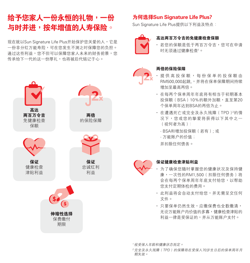## 给予您家人一份永恒的礼物,一份 与时并进,按年增值的人寿保险。

现在就以Sun Signature Life Plus开始保护您关爱的人,它是 一份非分红万能寿险,可在您发生不测之时保障您的负担。 通过这些利益,您不但可以保障您家人未来的财务前景,您 传承给下一代的这一份厚礼,也将被后代铭记于心。

![](_page_10_Picture_2.jpeg)

### 為何選擇Sun Signature Life Plus?

Sun Signature Life Plus提供以下利益及特点:

![](_page_10_Picture_5.jpeg)

#### 高達兩百萬令吉的免健康檢查保額

• 若您的保额是低于两百万令吉, 您可在申请 时无须通过健康检查'。

![](_page_10_Picture_8.jpeg)

#### 兩倍的保險保障

- · 提供高投保额, 每份保单的投保额中 RM500,000起跳,,并将在保单保障期间持续 增加至最高兩倍。
- 在每两个保单周年年底将有相当于初期基本 投保额(BSA)10%的额外加额,直至第20 个保单周年达到BSA的两倍为止。
- 在遭遇死亡或完全及永久殘障(TPD)2的情 况下,您或您的挚爱将获得以下其中之一 (視何者為高):
	- BSA和增加投保額(若有); 或
	- 万能账户的价值;

並扣除任何債務。

![](_page_10_Picture_16.jpeg)

#### 保證健康檢查津貼利益

- 為了確保您隨時掌握您的健康狀況及保持健 康,一次性的RM1,500(扣除任何債務)將 會在每兩個保單週年年底支付給您,以幫助 您支付定期体检的费用。
- 此利益将会自动支付给您,并无需呈交任何 文件。
- 只要保单仍然生效, 应缴保费也全数缴清, 无论万能账户内价值的多寡,健康检查津贴的 利益一律是受保证的,并从万能账户支付。

<sup>1</sup>視受保人年齡和健康狀態而定。

<sup>2</sup>完全及永久残障(TPD)的保障将在受保人70岁生日后的保单周年月 期失效。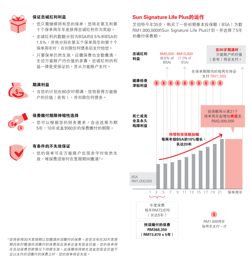![](_page_11_Picture_0.jpeg)

#### 保證忠誠紅利利益

- 您只需继续持有您的保单,您将在第五和第 十个保单周年年底获得忠诚红利作为奖励。
- 忠诚红利的数额分别为BSA的0.5%和BSA的 1.5%,并将分别在第五个保单周年和第十个 保单周年时,在扣除任何债务后支付给您。
- 只要保单仍然生效, 应缴保费也全数缴清, 无论万能账户内价值的多寡,忠诚红利的利 益一律是受保证的,并从万能账户支付。

#### 期滿利益

• 当您的计划在80岁时期满,您将获得万能账 戶的價值(若有),並扣除任何債務。

![](_page_11_Picture_7.jpeg)

#### 保費繳付期限伸縮性選擇

• 您可以根据您的财务需求,自由选择为期 5年,10年或直到60歲的保費繳付的期限。

#### 有條件的不失效保證

• 您的保单可在万能账户出现赤字时依然生 效,唯保费须依时在宽限期间缴清3。

### Sun Signature Life Plus的運作

艾伯特今年35岁,购买了一份初期基本投保额(BSA)为数 RM1,000,000的Sun Signature Life Plus计划,并选择了5年 的繳付保費期。

![](_page_11_Figure_15.jpeg)

<sup>3</sup>您将获得30天宽限期让您缴清所须缴付的保费。若您没有在30天宽限 期内依时缴清所须缴付的保费而此保单还备有现金价值,您的保单将 在自动保费贷款情况下持续生效。此保障将持续生效直到现金价值不 足以支付所須繳付的保費之時,您的保單將會失效。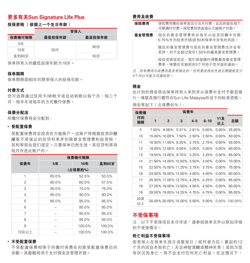### **更多有关Sun Signature Life Plus**

### 投保资格 (依据上一个生日年龄)

|        | 受保人    |        |  |  |  |  |
|--------|--------|--------|--|--|--|--|
| 保费缴付期限 | 最低投保年龄 | 最高投保年龄 |  |  |  |  |
| 5年     |        | 60岁    |  |  |  |  |
| 10年    | 30天    |        |  |  |  |  |
| 直到60岁  |        | 50岁    |  |  |  |  |

保單持有人的最低投保年齡為18歲。

#### 保單期限

保單期限是80年扣除受保人的投保年齡。

#### 付費方式

您可选择通过信用卡/转帐卡或自动转账以每个月、每三个 月、每半年或每年的方式繳付保費。

#### 保費分配法

所繳付保費將會分配到:

#### **•** 受配置保費

受配置保费将会投资在万能账户。这账户将根据投资回酬 赚取不受保证的信贷利率并扣除基金管理费和投资税, 其利率将由我们规定。只要保单仍然生效,其信贷利率将 每月存進此賬戶內。

|       | 保费缴付期限  |        |          |  |  |  |
|-------|---------|--------|----------|--|--|--|
| 保费年   | 5年      | 10年    | 直到60岁    |  |  |  |
|       | (占保费的%) |        |          |  |  |  |
| 1     | 65.0%   | 52.5%  | 50.0%    |  |  |  |
| 2     | 80.0%   | 60.0%  | 57.5%    |  |  |  |
| 3     | 95.0%   | 75.0%  | 75.0%    |  |  |  |
| 4     | 95.0%   | 90.0%  | $90.0\%$ |  |  |  |
| 5     | 95.0%   | 95.0%  | 95.0%    |  |  |  |
| 6     |         | 95.0%  | 95.0%    |  |  |  |
| 7     |         | 95.0%  | 95.0%    |  |  |  |
| 8     |         | 95.0%  | 95.0%    |  |  |  |
| 9     |         | 100.0% | 100.0%   |  |  |  |
| 10及以上 |         | 100.0% | 100.0%   |  |  |  |

#### **•** 不受配置保費

不受配置保费相等于所缴付保费在扣除受配置保费后的 餘額。其數額將用於支付佣金及管理開銷。

#### 費用及收費

| 保险费用  | 保险费用需在保单发出日当天付费,此后则是在每个<br>月期满时付费。保险费用将直接从万能账户扣除。 |
|-------|---------------------------------------------------|
| 基金管理费 | 现在的基金管理费将会每年从投资回酬中扣除<br>0.75%作为投资开销(若有)和保单中存有的风险。 |
|       | 随后的基金管理费与现在的基金管理费也许会有<br>差异,但不会超过每年1.50%的最高基金管理费。 |
|       | 视投资表现而定,我们保留随时调整最高基金管理<br>费率,唯需在实施前的3个月给干您书而的通知。  |

注: 所有费用与收费均是非受保证的, 任何更改将在生效日期提前至少 3个月以书面方式通知您。

#### 佣金

此计划的佣金将由保单持有人承担并从保费中支付予联昌银 行,唯联昌银行需符合Sun Life Malaysia所设下的标准资格。 佣金率如下(佔保費的%):

| 保费缴       | 保费年          |                      |                            |          |          |           |         |
|-----------|--------------|----------------------|----------------------------|----------|----------|-----------|---------|
| 付的<br>期限  | $\mathbf{1}$ | $\overline{2}$       | 3                          | $4 - 5$  | $6 - 10$ | 11及<br>以上 | 总额      |
| 5         | 7.50%        | 6.56%                | 5.31%                      | 2.81%    | $0.00\%$ | $0.00\%$  | 25.00%  |
| 10        |              | 15.00% 10.00%        | 7.50%                      | 2.50%    | 2.50%    | $0.00\%$  | 50.00%  |
| 11        |              | 16.50% 11.00%        | 8.25%                      | 2.75%    | 2.75%    | $0.00\%$  | 55.00%  |
| 12        |              | 18.00% 12.00%        | $9.00\%$                   | $3.00\%$ | 3.00%    | $0.00\%$  | 60.00%  |
| 13        |              | 19.50% 13.00%        | 9.75%                      | 3.25%    | 3.25%    | $0.00\%$  | 65.00%  |
| 14        |              | 21.00% 14.00% 10.50% |                            | 3.50%    | 3.50%    | $0.00\%$  | 70.00%  |
| 15        |              |                      | 22.50% 15.00% 11.25%       | 3.75%    | 3.75%    | $0.00\%$  | 75.00%  |
| 16        |              |                      | 24.00% 16.00% 12.00%       | 4.00%    | 4.00%    | $0.00\%$  | 80.00%  |
| 17        |              |                      | 25.50% 17.00% 12.75%       | 4.25%    | 4.25%    | $0.00\%$  | 85.00%  |
| 18        |              |                      | 27.00% 18.00% 13.50%       | 4.50%    | 4.50%    | $0.00\%$  | 90.00%  |
| 19        |              |                      | 28.50% 19.00% 14.25% 4.75% |          | 4.75%    | $0.00\%$  | 95.00%  |
| 20及<br>以上 |              |                      | 30.00% 20.00% 15.00%       | 5.00%    | 5.00%    | $0.00\%$  | 100.00% |

### 不受保事項

注:以下不受保项目未尽详述,请参阅保单文件以获知详细 的不受保情況。

#### 死亡利益不受保事項

若受保人在保单生效日或复效日(视何者为后)算起的12 个月内因自杀而死亡 (无论神智清醒或精神失常)或因为现 有狀況而身亡,將不會支付任何死亡利益。在這情況下,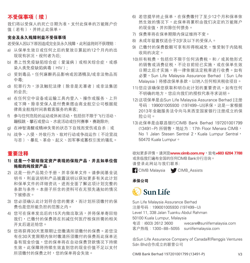### 不受保事项 (续)

我们将以受保人的死亡日期为准,支付此保单的万能账户价 值(若有),並終止此保單。

#### 完全及永久殘障利益不受保事項

若受保人因以下原因造成完全及永久殘障,此利益將則不獲理賠:

- a) 从保单生效日或任何之后的复效日算起的12个月内的出 现现有状况,视何者为后;
- b) 患上性免疫缺陷综合症(爱滋病)或相关综合症,或感 染人類免疫缺陷病毒(HIV);
- c) 受到毒品,任何麻醉药品影响或因酒精及/或非法物品而 中毒;
- d) 犯罪行為,涉及觸犯法律(除非是無辜者)或非法集團 的会员;
- e) 在任何空中設備或運輸工具內登入、操作或服務、上升 或下降,除非受保人是付费乘搭由商业航空公司根据规 律商业航线时间表载客服务的乘客;
- f) 参与任何危险的运动或休闲活动,包括但不限于飞行活动、 蹦极跳、攀石或登山、水底活动或任何赛事,赛跑除外;
- g) 在神智清醒或精神失常的状态下自残而受伤或自杀;或
- h) 戰爭、入侵、外敵行為、敵對行動或爭戰運作(不論宣戰 与否)、暴乱、革命、起义、因军事或篡权引发的骚乱。

### 重要註釋

- 1) 这是一个联结指定资产表现的保险产品,并且如单位信 拖般的纯投资产品。
- 2) 这是一份产品简介手册,并非保单文件。请参阅基金说 明书,利益说明和产品披露说明以获知更多有关此计划 和保单文件的详细资讯,进而全面了解这项计划完整的 条款与条件。本册子所含的资料可在无预先通知的情况 下被修改。
- 3) 您必须确认此计划符合您的需求,而计划所须缴付的保 費也是您所能負擔的範圍之內。
- 4) 您可在保单发出后的15天内做出取消,并将保单寄回给 我们,已缴付的保费将在扣减任何医疗核保所需的相关 开支后退还给您。
- 5) 您将获得30天宽限期让您缴清所须缴付的保费。若您没 有在30天寬限期內依時繳清所須繳付的保費而此保單還 备有现金价值,您的保单将在自动保费贷款情况下持续 生效。此保障将持续生效直到您的现金价值不足以支付 所须缴付的保费之时,您的保单将会失效。
- 6) 若您提早终止保单,在保费缴付了至少12个月和保单依 然生效的情况下,此保单将累积由我们决定的万能账户 的現金值,並扣除任何債務。
- 7) 保费率将在保单期限内保证维持不变。
- 8) 未成年留置权适合于3岁及以下的受保人。
- 9) 已缴付的保费数额可享有所得税减免,惟受制于内陆税 收局的決定。
- 10)所有稅費,包括但不限於任何消費稅,和/或其他形式 的销售或消费征税,不论目前经已实施,或在保单生效 日期之后才实施,将一律依据法定税率进行收费。如有 必要, Sun Life Malaysia Assurance Berhad (Sun Life Malaysia)将修改保单条款,以纳入任何相关税收项目。
- 11)您应该确保您获取和明白此计划的重要资讯。如有任何 不明确的地方,您应向我们的授权代表寻求说明。
- 12)這項保單是由Sun Life Malaysia Assurance Berhad [註冊 号码: 199001005930 (197499-U)]承保,这是一家根据 2013年金融服務法令向馬來西亞國家銀行註冊成立的保 險公司。
- 13)此保單是由聯昌銀行CIMB Bank Berhad 197201001799 (13491-P) 所销售,地址为: 17th Floor Menara CIMB, No 1 Jalan Stesen Sentral 2, Kuala Lumpur Sentral, 50470 Kuala Lumpur。

欲知更多详情,请浏览www.cimb.com.mv,致电+603 6204 7788 或親臨我們遍佈全國的任何CIMB Bank分行洽詢。 请登录此网站与我们联系:

**CIMB Malaysia** CIMB Assists

#### 承保公司

## $\mathbb{C}$  Sun Life

Sun Life Malaysia Assurance Berhad 注册号码: 199001005930 (197499-U) Level 11, 338 Jalan Tuanku Abdul Rahman 50100 Kuala Lumpur, Malaysia 電話:(603) 2612 3600 wecare@sunlifemalaysia.com 客戶熱線:1300-88-5055 sunlifemalaysia.com

由Sun Life Assurance Company of Canada和Renggis Ventures Sdn Bhd合作成立的聯營公司

CIMB Bank Berhad 197201001799 (13491-P) V3